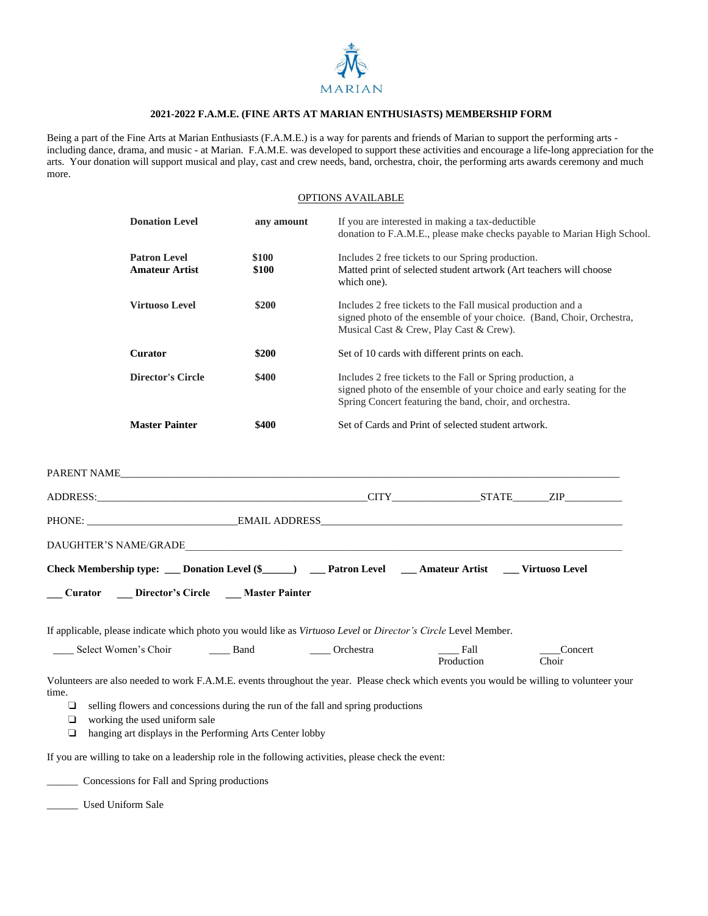

## **2021-2022 F.A.M.E. (FINE ARTS AT MARIAN ENTHUSIASTS) MEMBERSHIP FORM**

Being a part of the Fine Arts at Marian Enthusiasts (F.A.M.E.) is a way for parents and friends of Marian to support the performing arts including dance, drama, and music - at Marian. F.A.M.E. was developed to support these activities and encourage a life-long appreciation for the arts. Your donation will support musical and play, cast and crew needs, band, orchestra, choir, the performing arts awards ceremony and much more.

## OPTIONS AVAILABLE

|                                                                                                                                                                                                                                                                                                                                                                                                                                                                      | <b>Donation Level</b>                        | any amount     | If you are interested in making a tax-deductible<br>donation to F.A.M.E., please make checks payable to Marian High School.                                                                      |
|----------------------------------------------------------------------------------------------------------------------------------------------------------------------------------------------------------------------------------------------------------------------------------------------------------------------------------------------------------------------------------------------------------------------------------------------------------------------|----------------------------------------------|----------------|--------------------------------------------------------------------------------------------------------------------------------------------------------------------------------------------------|
|                                                                                                                                                                                                                                                                                                                                                                                                                                                                      | <b>Patron Level</b><br><b>Amateur Artist</b> | \$100<br>\$100 | Includes 2 free tickets to our Spring production.<br>Matted print of selected student artwork (Art teachers will choose<br>which one).                                                           |
|                                                                                                                                                                                                                                                                                                                                                                                                                                                                      | <b>Virtuoso Level</b>                        | \$200          | Includes 2 free tickets to the Fall musical production and a<br>signed photo of the ensemble of your choice. (Band, Choir, Orchestra,<br>Musical Cast & Crew, Play Cast & Crew).                 |
|                                                                                                                                                                                                                                                                                                                                                                                                                                                                      | <b>Curator</b>                               | \$200          | Set of 10 cards with different prints on each.                                                                                                                                                   |
|                                                                                                                                                                                                                                                                                                                                                                                                                                                                      | <b>Director's Circle</b>                     | \$400          | Includes 2 free tickets to the Fall or Spring production, a<br>signed photo of the ensemble of your choice and early seating for the<br>Spring Concert featuring the band, choir, and orchestra. |
|                                                                                                                                                                                                                                                                                                                                                                                                                                                                      | <b>Master Painter</b>                        | \$400          | Set of Cards and Print of selected student artwork.                                                                                                                                              |
| Check Membership type: ___ Donation Level (\$_____) ___ Patron Level ____ Amateur Artist ___ Virtuoso Level<br><b>Curator Director's Circle Master Painter</b>                                                                                                                                                                                                                                                                                                       |                                              |                |                                                                                                                                                                                                  |
|                                                                                                                                                                                                                                                                                                                                                                                                                                                                      |                                              |                | If applicable, please indicate which photo you would like as Virtuoso Level or Director's Circle Level Member.                                                                                   |
|                                                                                                                                                                                                                                                                                                                                                                                                                                                                      | _____ Select Women's Choir _______ Band      | Orchestra      | Fall<br>_Concert<br>Choir<br>Production                                                                                                                                                          |
| Volunteers are also needed to work F.A.M.E. events throughout the year. Please check which events you would be willing to volunteer your<br>time.<br>selling flowers and concessions during the run of the fall and spring productions<br>$\Box$<br>working the used uniform sale<br>❏<br>$\Box$<br>hanging art displays in the Performing Arts Center lobby<br>If you are willing to take on a leadership role in the following activities, please check the event: |                                              |                |                                                                                                                                                                                                  |

\_\_\_\_\_\_ Concessions for Fall and Spring productions

\_\_\_\_\_\_ Used Uniform Sale